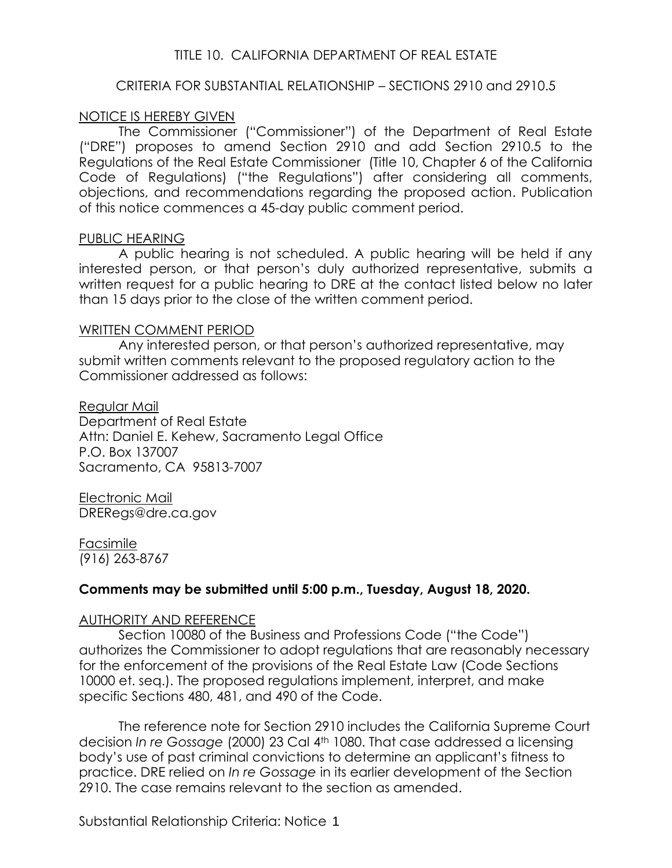### TITLE 10. CALIFORNIA DEPARTMENT OF REAL ESTATE

### CRITERIA FOR SUBSTANTIAL RELATIONSHIP – SECTIONS 2910 and 2910.5

### NOTICE IS HEREBY GIVEN

The Commissioner ("Commissioner") of the Department of Real Estate ("DRE") proposes to amend Section 2910 and add Section 2910.5 to the Regulations of the Real Estate Commissioner (Title 10, Chapter 6 of the California Code of Regulations) ("the Regulations") after considering all comments, objections, and recommendations regarding the proposed action. Publication of this notice commences a 45-day public comment period.

#### PUBLIC HEARING

A public hearing is not scheduled. A public hearing will be held if any interested person, or that person's duly authorized representative, submits a written request for a public hearing to DRE at the contact listed below no later than 15 days prior to the close of the written comment period.

#### WRITTEN COMMENT PERIOD

Any interested person, or that person's authorized representative, may submit written comments relevant to the proposed regulatory action to the Commissioner addressed as follows:

Regular Mail Department of Real Estate Attn: Daniel E. Kehew, Sacramento Legal Office P.O. Box 137007 Sacramento, CA 95813-7007

Electronic Mail DRERegs@dre.ca.gov

Facsimile (916) 263-8767

### **Comments may be submitted until 5:00 p.m., Tuesday, August 18, 2020.**

### AUTHORITY AND REFERENCE

Section 10080 of the Business and Professions Code ("the Code") authorizes the Commissioner to adopt regulations that are reasonably necessary for the enforcement of the provisions of the Real Estate Law (Code Sections 10000 et. seq.). The proposed regulations implement, interpret, and make specific Sections 480, 481, and 490 of the Code.

The reference note for Section 2910 includes the California Supreme Court decision *In re Gossage* (2000) 23 Cal 4th 1080. That case addressed a licensing body's use of past criminal convictions to determine an applicant's fitness to practice. DRE relied on *In re Gossage* in its earlier development of the Section 2910. The case remains relevant to the section as amended.

Substantial Relationship Criteria: Notice 1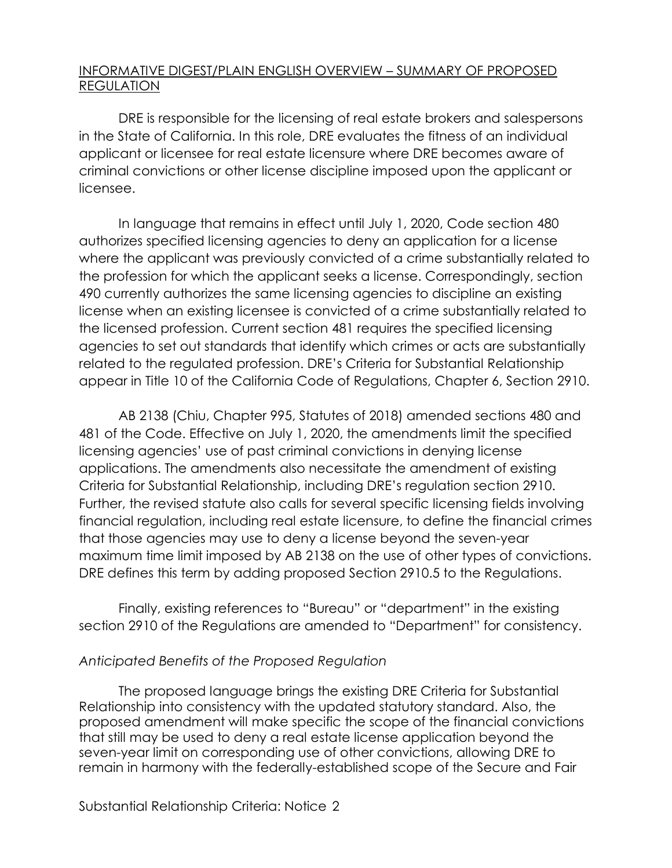## INFORMATIVE DIGEST/PLAIN ENGLISH OVERVIEW – SUMMARY OF PROPOSED REGULATION

DRE is responsible for the licensing of real estate brokers and salespersons in the State of California. In this role, DRE evaluates the fitness of an individual applicant or licensee for real estate licensure where DRE becomes aware of criminal convictions or other license discipline imposed upon the applicant or licensee.

In language that remains in effect until July 1, 2020, Code section 480 authorizes specified licensing agencies to deny an application for a license where the applicant was previously convicted of a crime substantially related to the profession for which the applicant seeks a license. Correspondingly, section 490 currently authorizes the same licensing agencies to discipline an existing license when an existing licensee is convicted of a crime substantially related to the licensed profession. Current section 481 requires the specified licensing agencies to set out standards that identify which crimes or acts are substantially related to the regulated profession. DRE's Criteria for Substantial Relationship appear in Title 10 of the California Code of Regulations, Chapter 6, Section 2910.

AB 2138 (Chiu, Chapter 995, Statutes of 2018) amended sections 480 and 481 of the Code. Effective on July 1, 2020, the amendments limit the specified licensing agencies' use of past criminal convictions in denying license applications. The amendments also necessitate the amendment of existing Criteria for Substantial Relationship, including DRE's regulation section 2910. Further, the revised statute also calls for several specific licensing fields involving financial regulation, including real estate licensure, to define the financial crimes that those agencies may use to deny a license beyond the seven-year maximum time limit imposed by AB 2138 on the use of other types of convictions. DRE defines this term by adding proposed Section 2910.5 to the Regulations.

Finally, existing references to "Bureau" or "department" in the existing section 2910 of the Regulations are amended to "Department" for consistency.

## *Anticipated Benefits of the Proposed Regulation*

The proposed language brings the existing DRE Criteria for Substantial Relationship into consistency with the updated statutory standard. Also, the proposed amendment will make specific the scope of the financial convictions that still may be used to deny a real estate license application beyond the seven-year limit on corresponding use of other convictions, allowing DRE to remain in harmony with the federally-established scope of the Secure and Fair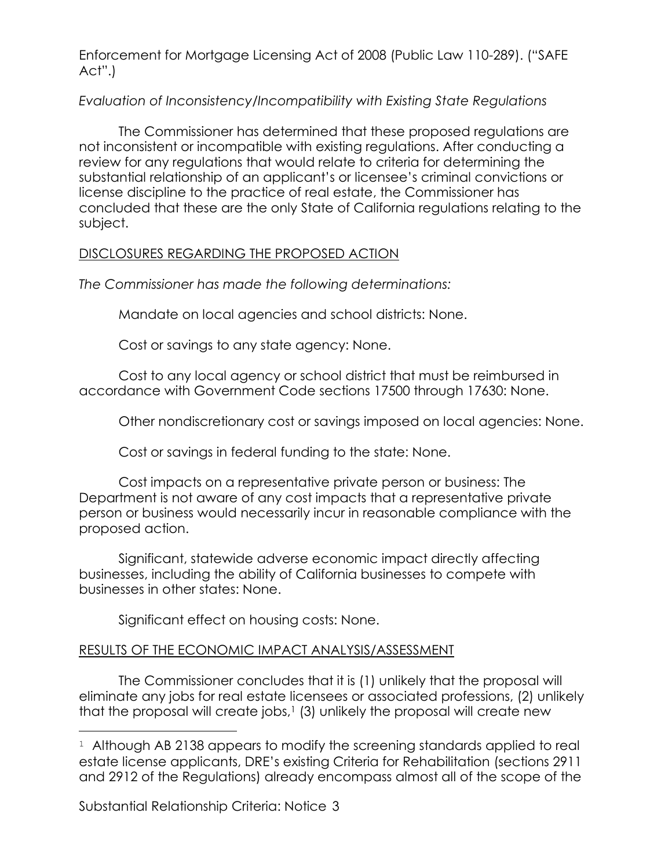Enforcement for Mortgage Licensing Act of 2008 (Public Law 110-289). ("SAFE Act".)

## *Evaluation of Inconsistency/Incompatibility with Existing State Regulations*

The Commissioner has determined that these proposed regulations are not inconsistent or incompatible with existing regulations. After conducting a review for any regulations that would relate to criteria for determining the substantial relationship of an applicant's or licensee's criminal convictions or license discipline to the practice of real estate, the Commissioner has concluded that these are the only State of California regulations relating to the subject.

## DISCLOSURES REGARDING THE PROPOSED ACTION

*The Commissioner has made the following determinations:*

Mandate on local agencies and school districts: None.

Cost or savings to any state agency: None.

Cost to any local agency or school district that must be reimbursed in accordance with Government Code sections 17500 through 17630: None.

Other nondiscretionary cost or savings imposed on local agencies: None.

Cost or savings in federal funding to the state: None.

Cost impacts on a representative private person or business: The Department is not aware of any cost impacts that a representative private person or business would necessarily incur in reasonable compliance with the proposed action.

Significant, statewide adverse economic impact directly affecting businesses, including the ability of California businesses to compete with businesses in other states: None.

Significant effect on housing costs: None.

# RESULTS OF THE ECONOMIC IMPACT ANALYSIS/ASSESSMENT

The Commissioner concludes that it is (1) unlikely that the proposal will eliminate any jobs for real estate licensees or associated professions, (2) unlikely that the proposal will create jobs, $1$  (3) unlikely the proposal will create new

Substantial Relationship Criteria: Notice 3

a<br>B

<sup>&</sup>lt;sup>1</sup> Although AB 2138 appears to modify the screening standards applied to real estate license applicants, DRE's existing Criteria for Rehabilitation (sections 2911 and 2912 of the Regulations) already encompass almost all of the scope of the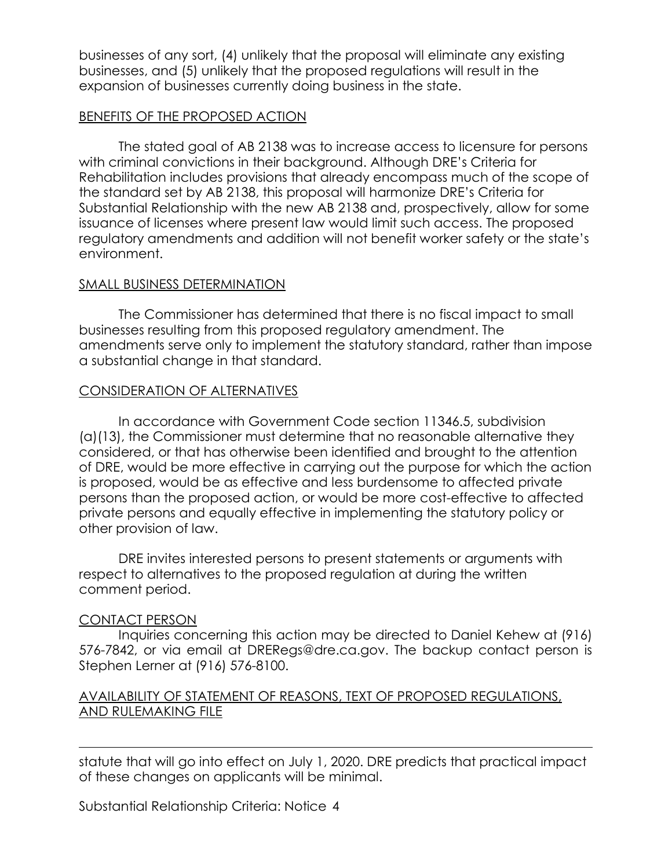businesses of any sort, (4) unlikely that the proposal will eliminate any existing businesses, and (5) unlikely that the proposed regulations will result in the expansion of businesses currently doing business in the state.

## BENEFITS OF THE PROPOSED ACTION

The stated goal of AB 2138 was to increase access to licensure for persons with criminal convictions in their background. Although DRE's Criteria for Rehabilitation includes provisions that already encompass much of the scope of the standard set by AB 2138, this proposal will harmonize DRE's Criteria for Substantial Relationship with the new AB 2138 and, prospectively, allow for some issuance of licenses where present law would limit such access. The proposed regulatory amendments and addition will not benefit worker safety or the state's environment.

## SMALL BUSINESS DETERMINATION

The Commissioner has determined that there is no fiscal impact to small businesses resulting from this proposed regulatory amendment. The amendments serve only to implement the statutory standard, rather than impose a substantial change in that standard.

## CONSIDERATION OF ALTERNATIVES

In accordance with Government Code section 11346.5, subdivision (a)(13), the Commissioner must determine that no reasonable alternative they considered, or that has otherwise been identified and brought to the attention of DRE, would be more effective in carrying out the purpose for which the action is proposed, would be as effective and less burdensome to affected private persons than the proposed action, or would be more cost-effective to affected private persons and equally effective in implementing the statutory policy or other provision of law.

DRE invites interested persons to present statements or arguments with respect to alternatives to the proposed regulation at during the written comment period.

### CONTACT PERSON

a<br>B

Inquiries concerning this action may be directed to Daniel Kehew at (916) 576-7842, or via email at DRERegs@dre.ca.gov. The backup contact person is Stephen Lerner at (916) 576-8100.

## AVAILABILITY OF STATEMENT OF REASONS, TEXT OF PROPOSED REGULATIONS, AND RULEMAKING FILE

statute that will go into effect on July 1, 2020. DRE predicts that practical impact of these changes on applicants will be minimal.

Substantial Relationship Criteria: Notice 4